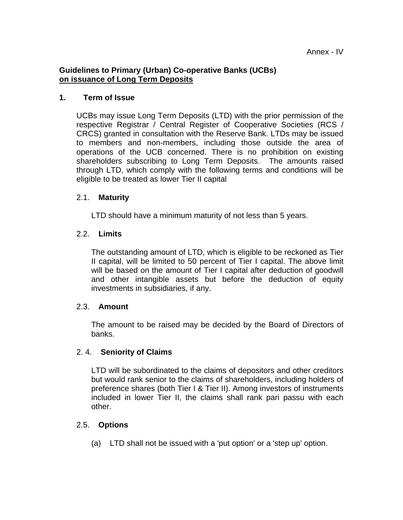# **Guidelines to Primary (Urban) Co-operative Banks (UCBs) on issuance of Long Term Deposits**

### **1. Term of Issue**

UCBs may issue Long Term Deposits (LTD) with the prior permission of the respective Registrar / Central Register of Cooperative Societies (RCS / CRCS) granted in consultation with the Reserve Bank. LTDs may be issued to members and non-members, including those outside the area of operations of the UCB concerned. There is no prohibition on existing shareholders subscribing to Long Term Deposits. The amounts raised through LTD, which comply with the following terms and conditions will be eligible to be treated as lower Tier II capital

#### 2.1. **Maturity**

LTD should have a minimum maturity of not less than 5 years.

### 2.2. **Limits**

The outstanding amount of LTD, which is eligible to be reckoned as Tier II capital, will be limited to 50 percent of Tier I capital. The above limit will be based on the amount of Tier I capital after deduction of goodwill and other intangible assets but before the deduction of equity investments in subsidiaries, if any.

### 2.3. **Amount**

The amount to be raised may be decided by the Board of Directors of banks.

### 2. 4. **Seniority of Claims**

LTD will be subordinated to the claims of depositors and other creditors but would rank senior to the claims of shareholders, including holders of preference shares (both Tier I & Tier II). Among investors of instruments included in lower Tier II, the claims shall rank pari passu with each other.

### 2.5. **Options**

(a) LTD shall not be issued with a 'put option' or a 'step up' option.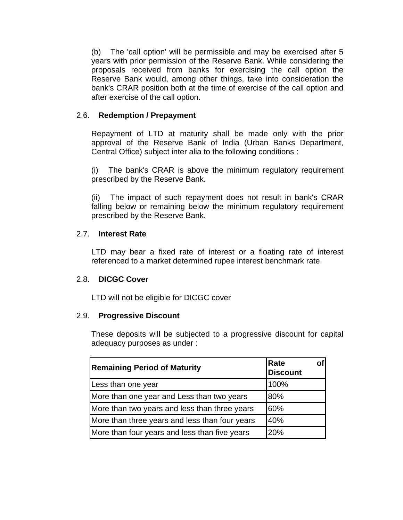(b) The 'call option' will be permissible and may be exercised after 5 years with prior permission of the Reserve Bank. While considering the proposals received from banks for exercising the call option the Reserve Bank would, among other things, take into consideration the bank's CRAR position both at the time of exercise of the call option and after exercise of the call option.

# 2.6. **Redemption / Prepayment**

Repayment of LTD at maturity shall be made only with the prior approval of the Reserve Bank of India (Urban Banks Department, Central Office) subject inter alia to the following conditions :

(i) The bank's CRAR is above the minimum regulatory requirement prescribed by the Reserve Bank.

(ii) The impact of such repayment does not result in bank's CRAR falling below or remaining below the minimum regulatory requirement prescribed by the Reserve Bank.

# 2.7. **Interest Rate**

LTD may bear a fixed rate of interest or a floating rate of interest referenced to a market determined rupee interest benchmark rate.

### 2.8. **DICGC Cover**

LTD will not be eligible for DICGC cover

### 2.9. **Progressive Discount**

These deposits will be subjected to a progressive discount for capital adequacy purposes as under :

| <b>Remaining Period of Maturity</b>            | Rate<br><b>Discount</b> |
|------------------------------------------------|-------------------------|
| Less than one year                             | 100%                    |
| More than one year and Less than two years     | 80%                     |
| More than two years and less than three years  | 60%                     |
| More than three years and less than four years | 40%                     |
| More than four years and less than five years  | 20%                     |